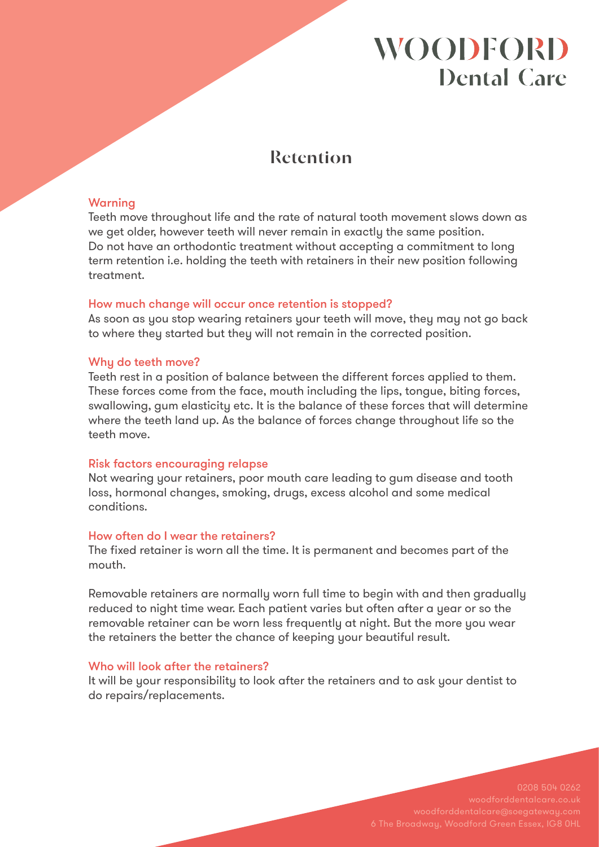# **WOODFORD Dental Care**

## **Retention**

### Warning

Teeth move throughout life and the rate of natural tooth movement slows down as we get older, however teeth will never remain in exactly the same position. Do not have an orthodontic treatment without accepting a commitment to long term retention i.e. holding the teeth with retainers in their new position following treatment.

#### How much change will occur once retention is stopped?

As soon as you stop wearing retainers your teeth will move, they may not go back to where they started but they will not remain in the corrected position.

### Why do teeth move?

Teeth rest in a position of balance between the different forces applied to them. These forces come from the face, mouth including the lips, tongue, biting forces, swallowing, gum elasticity etc. It is the balance of these forces that will determine where the teeth land up. As the balance of forces change throughout life so the teeth move.

#### Risk factors encouraging relapse

Not wearing your retainers, poor mouth care leading to gum disease and tooth loss, hormonal changes, smoking, drugs, excess alcohol and some medical conditions.

#### How often do I wear the retainers?

The fixed retainer is worn all the time. It is permanent and becomes part of the mouth.

Removable retainers are normally worn full time to begin with and then gradually reduced to night time wear. Each patient varies but often after a year or so the removable retainer can be worn less frequently at night. But the more you wear the retainers the better the chance of keeping your beautiful result.

#### Who will look after the retainers?

It will be your responsibility to look after the retainers and to ask your dentist to do repairs/replacements.